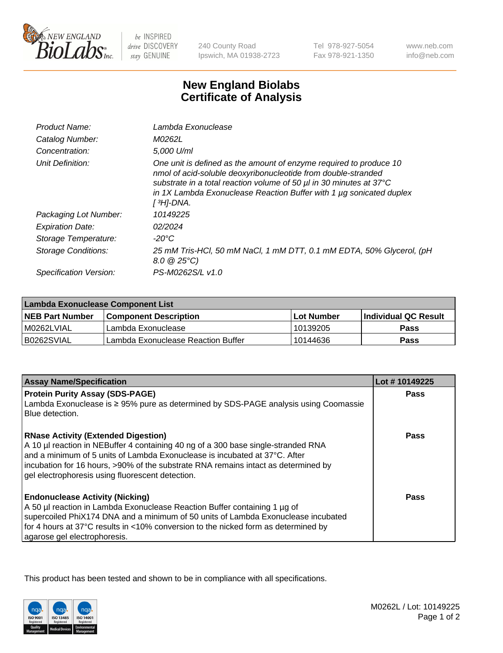

be INSPIRED drive DISCOVERY stay GENUINE

240 County Road Ipswich, MA 01938-2723

Tel 978-927-5054 Fax 978-921-1350

www.neb.com info@neb.com

## **New England Biolabs Certificate of Analysis**

| Product Name:           | Lambda Exonuclease                                                                                                                                                                                                                                                                                               |
|-------------------------|------------------------------------------------------------------------------------------------------------------------------------------------------------------------------------------------------------------------------------------------------------------------------------------------------------------|
| Catalog Number:         | M0262L                                                                                                                                                                                                                                                                                                           |
| Concentration:          | 5,000 U/ml                                                                                                                                                                                                                                                                                                       |
| Unit Definition:        | One unit is defined as the amount of enzyme required to produce 10<br>nmol of acid-soluble deoxyribonucleotide from double-stranded<br>substrate in a total reaction volume of 50 µl in 30 minutes at 37°C<br>in 1X Lambda Exonuclease Reaction Buffer with 1 $\mu$ g sonicated duplex<br>[ <sup>3</sup> H]-DNA. |
| Packaging Lot Number:   | 10149225                                                                                                                                                                                                                                                                                                         |
| <b>Expiration Date:</b> | 02/2024                                                                                                                                                                                                                                                                                                          |
| Storage Temperature:    | $-20^{\circ}$ C                                                                                                                                                                                                                                                                                                  |
| Storage Conditions:     | 25 mM Tris-HCl, 50 mM NaCl, 1 mM DTT, 0.1 mM EDTA, 50% Glycerol, (pH<br>$8.0 \ @ 25^{\circ}C$                                                                                                                                                                                                                    |
| Specification Version:  | PS-M0262S/L v1.0                                                                                                                                                                                                                                                                                                 |

| Lambda Exonuclease Component List |                                    |            |                             |  |
|-----------------------------------|------------------------------------|------------|-----------------------------|--|
| <b>NEB Part Number</b>            | <b>Component Description</b>       | Lot Number | <b>Individual QC Result</b> |  |
| IM0262LVIAL                       | Lambda Exonuclease                 | 10139205   | <b>Pass</b>                 |  |
| IB0262SVIAL                       | Lambda Exonuclease Reaction Buffer | 10144636   | Pass                        |  |

| <b>Assay Name/Specification</b>                                                                                                                                                                                                                                                                                                                         | Lot #10149225 |
|---------------------------------------------------------------------------------------------------------------------------------------------------------------------------------------------------------------------------------------------------------------------------------------------------------------------------------------------------------|---------------|
| <b>Protein Purity Assay (SDS-PAGE)</b>                                                                                                                                                                                                                                                                                                                  | <b>Pass</b>   |
| Lambda Exonuclease is ≥ 95% pure as determined by SDS-PAGE analysis using Coomassie<br>Blue detection.                                                                                                                                                                                                                                                  |               |
| <b>RNase Activity (Extended Digestion)</b><br>A 10 µl reaction in NEBuffer 4 containing 40 ng of a 300 base single-stranded RNA<br>and a minimum of 5 units of Lambda Exonuclease is incubated at 37°C. After<br>incubation for 16 hours, >90% of the substrate RNA remains intact as determined by<br>gel electrophoresis using fluorescent detection. | Pass          |
| <b>Endonuclease Activity (Nicking)</b><br>A 50 µl reaction in Lambda Exonuclease Reaction Buffer containing 1 µg of<br>supercoiled PhiX174 DNA and a minimum of 50 units of Lambda Exonuclease incubated<br>for 4 hours at 37°C results in <10% conversion to the nicked form as determined by<br>agarose gel electrophoresis.                          | Pass          |

This product has been tested and shown to be in compliance with all specifications.